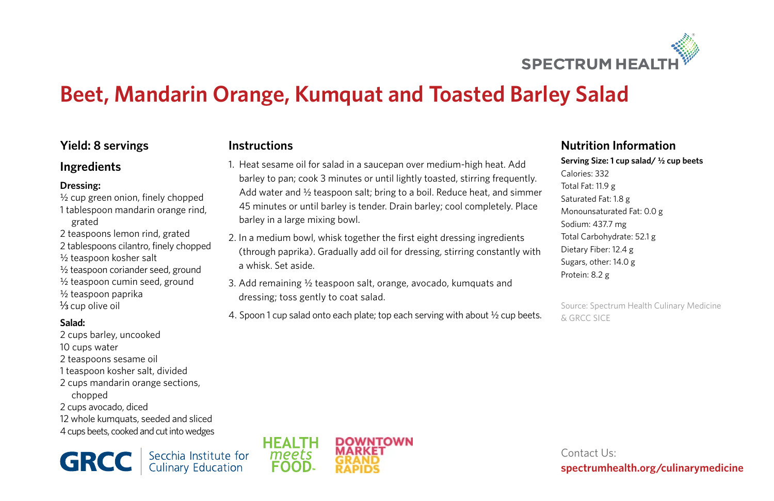

# **Beet, Mandarin Orange, Kumquat and Toasted Barley Salad**

1. Heat sesame oil for salad in a saucepan over medium-high heat. Add barley to pan; cook 3 minutes or until lightly toasted, stirring frequently. Add water and ½ teaspoon salt; bring to a boil. Reduce heat, and simmer 45 minutes or until barley is tender. Drain barley; cool completely. Place

2. In a medium bowl, whisk together the first eight dressing ingredients (through paprika). Gradually add oil for dressing, stirring constantly with

3. Add remaining ½ teaspoon salt, orange, avocado, kumquats and

4. Spoon 1 cup salad onto each plate; top each serving with about ½ cup beets.

**Instructions**

barley in a large mixing bowl.

dressing; toss gently to coat salad.

a whisk. Set aside.

# **Yield: 8 servings**

## **Ingredients**

#### **Dressing:**

- ½ cup green onion, finely chopped 1 tablespoon mandarin orange rind, grated
- 2 teaspoons lemon rind, grated
- 2 tablespoons cilantro, finely chopped
- ½ teaspoon kosher salt
- ½ teaspoon coriander seed, ground
- ½ teaspoon cumin seed, ground
- ½ teaspoon paprika
- $\frac{1}{3}$  cup olive oil

## **Salad:**

2 cups barley, uncooked 10 cups water 2 teaspoons sesame oil 1 teaspoon kosher salt, divided 2 cups mandarin orange sections, chopped 2 cups avocado, diced 12 whole kumquats, seeded and sliced 4 cups beets, cooked and cut into wedges

Secchia Institute for<br>Culinary Education **GRCC** 



## **Nutrition Information**

**Serving Size: 1 cup salad/ ½ cup beets** Calories: 332 Total Fat: 11.9 g Saturated Fat: 1.8 g Monounsaturated Fat: 0.0 g Sodium: 437.7 mg Total Carbohydrate: 52.1 g Dietary Fiber: 12.4 g Sugars, other: 14.0 g Protein: 8.2 g

Source: Spectrum Health Culinary Medicine & GRCC SICE

Contact Us: **spectrumhealth.org/culinarymedicine**